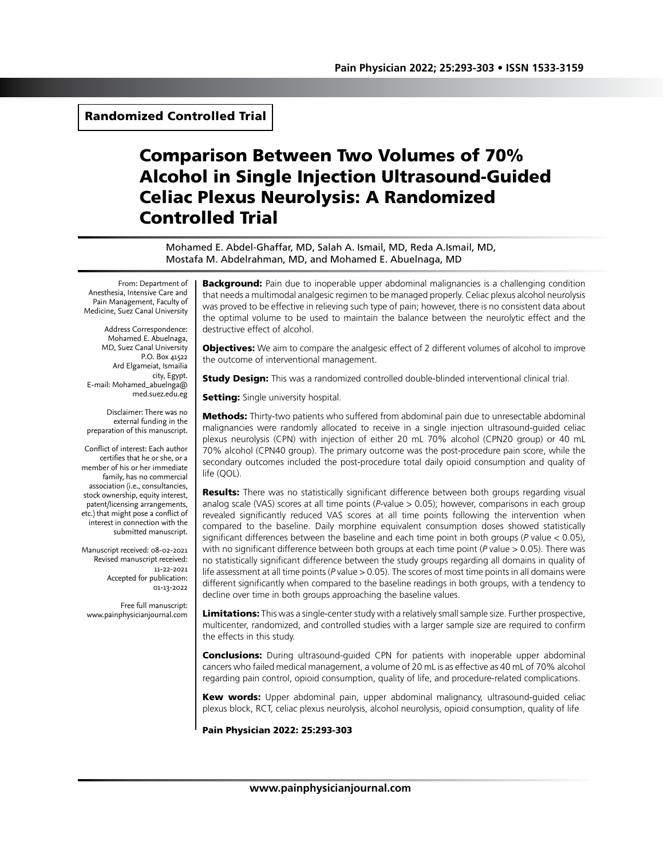Randomized Controlled Trial

# Comparison Between Two Volumes of 70% Alcohol in Single Injection Ultrasound-Guided Celiac Plexus Neurolysis: A Randomized Controlled Trial

Mohamed E. Abdel-Ghaffar, MD, Salah A. Ismail, MD, Reda A.Ismail, MD, Mostafa M. Abdelrahman, MD, and Mohamed E. Abuelnaga, MD

From: Department of Anesthesia, Intensive Care and Pain Management, Faculty of Medicine, Suez Canal University

Address Correspondence: Mohamed E. Abuelnaga, MD, Suez Canal University P.O. Box 41522 Ard Elgameiat, Ismailia city, Egypt. E-mail: Mohamed\_abuelnga@ med.suez.edu.eg

Disclaimer: There was no external funding in the preparation of this manuscript.

Conflict of interest: Each author certifies that he or she, or a member of his or her immediate family, has no commercial association (i.e., consultancies, stock ownership, equity interest, patent/licensing arrangements, etc.) that might pose a conflict of interest in connection with the submitted manuscript.

Manuscript received: 08-02-2021 Revised manuscript received: 11-22-2021 Accepted for publication: 01-13-2022

Free full manuscript: www.painphysicianjournal.com

**Background:** Pain due to inoperable upper abdominal malignancies is a challenging condition that needs a multimodal analgesic regimen to be managed properly. Celiac plexus alcohol neurolysis was proved to be effective in relieving such type of pain; however, there is no consistent data about the optimal volume to be used to maintain the balance between the neurolytic effect and the destructive effect of alcohol.

**Objectives:** We aim to compare the analgesic effect of 2 different volumes of alcohol to improve the outcome of interventional management.

**Study Design:** This was a randomized controlled double-blinded interventional clinical trial.

**Setting:** Single university hospital.

**Methods:** Thirty-two patients who suffered from abdominal pain due to unresectable abdominal malignancies were randomly allocated to receive in a single injection ultrasound-guided celiac plexus neurolysis (CPN) with injection of either 20 mL 70% alcohol (CPN20 group) or 40 mL 70% alcohol (CPN40 group). The primary outcome was the post-procedure pain score, while the secondary outcomes included the post-procedure total daily opioid consumption and quality of life (QOL).

**Results:** There was no statistically significant difference between both groups regarding visual analog scale (VAS) scores at all time points (*P*-value > 0.05); however, comparisons in each group revealed significantly reduced VAS scores at all time points following the intervention when compared to the baseline. Daily morphine equivalent consumption doses showed statistically significant differences between the baseline and each time point in both groups (*P* value < 0.05), with no significant difference between both groups at each time point (*P* value > 0.05). There was no statistically significant difference between the study groups regarding all domains in quality of life assessment at all time points (*P* value > 0.05). The scores of most time points in all domains were different significantly when compared to the baseline readings in both groups, with a tendency to decline over time in both groups approaching the baseline values.

Limitations: This was a single-center study with a relatively small sample size. Further prospective, multicenter, randomized, and controlled studies with a larger sample size are required to confirm the effects in this study.

**Conclusions:** During ultrasound-guided CPN for patients with inoperable upper abdominal cancers who failed medical management, a volume of 20 mL is as effective as 40 mL of 70% alcohol regarding pain control, opioid consumption, quality of life, and procedure-related complications.

Kew words: Upper abdominal pain, upper abdominal malignancy, ultrasound-guided celiac plexus block, RCT, celiac plexus neurolysis, alcohol neurolysis, opioid consumption, quality of life

Pain Physician 2022: 25:293-303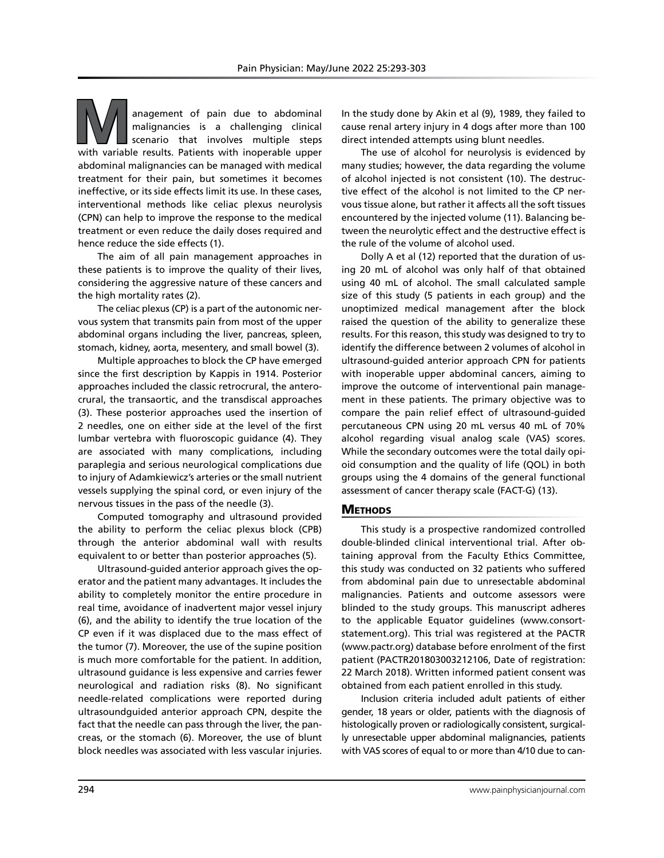anagement of pain due to abdominal<br>malignancies is a challenging clinical<br>scenario that involves multiple steps<br>with variable results. Patients with inoperable upper malignancies is a challenging clinical scenario that involves multiple steps with variable results. Patients with inoperable upper abdominal malignancies can be managed with medical treatment for their pain, but sometimes it becomes ineffective, or its side effects limit its use. In these cases, interventional methods like celiac plexus neurolysis (CPN) can help to improve the response to the medical treatment or even reduce the daily doses required and hence reduce the side effects (1).

The aim of all pain management approaches in these patients is to improve the quality of their lives, considering the aggressive nature of these cancers and the high mortality rates (2).

The celiac plexus (CP) is a part of the autonomic nervous system that transmits pain from most of the upper abdominal organs including the liver, pancreas, spleen, stomach, kidney, aorta, mesentery, and small bowel (3).

Multiple approaches to block the CP have emerged since the first description by Kappis in 1914. Posterior approaches included the classic retrocrural, the anterocrural, the transaortic, and the transdiscal approaches (3). These posterior approaches used the insertion of 2 needles, one on either side at the level of the first lumbar vertebra with fluoroscopic guidance (4). They are associated with many complications, including paraplegia and serious neurological complications due to injury of Adamkiewicz's arteries or the small nutrient vessels supplying the spinal cord, or even injury of the nervous tissues in the pass of the needle (3).

Computed tomography and ultrasound provided the ability to perform the celiac plexus block (CPB) through the anterior abdominal wall with results equivalent to or better than posterior approaches (5).

Ultrasound-guided anterior approach gives the operator and the patient many advantages. It includes the ability to completely monitor the entire procedure in real time, avoidance of inadvertent major vessel injury (6), and the ability to identify the true location of the CP even if it was displaced due to the mass effect of the tumor (7). Moreover, the use of the supine position is much more comfortable for the patient. In addition, ultrasound guidance is less expensive and carries fewer neurological and radiation risks (8). No significant needle-related complications were reported during ultrasoundguided anterior approach CPN, despite the fact that the needle can pass through the liver, the pancreas, or the stomach (6). Moreover, the use of blunt block needles was associated with less vascular injuries.

In the study done by Akin et al (9), 1989, they failed to cause renal artery injury in 4 dogs after more than 100 direct intended attempts using blunt needles.

The use of alcohol for neurolysis is evidenced by many studies; however, the data regarding the volume of alcohol injected is not consistent (10). The destructive effect of the alcohol is not limited to the CP nervous tissue alone, but rather it affects all the soft tissues encountered by the injected volume (11). Balancing between the neurolytic effect and the destructive effect is the rule of the volume of alcohol used.

Dolly A et al (12) reported that the duration of using 20 mL of alcohol was only half of that obtained using 40 mL of alcohol. The small calculated sample size of this study (5 patients in each group) and the unoptimized medical management after the block raised the question of the ability to generalize these results. For this reason, this study was designed to try to identify the difference between 2 volumes of alcohol in ultrasound-guided anterior approach CPN for patients with inoperable upper abdominal cancers, aiming to improve the outcome of interventional pain management in these patients. The primary objective was to compare the pain relief effect of ultrasound-guided percutaneous CPN using 20 mL versus 40 mL of 70% alcohol regarding visual analog scale (VAS) scores. While the secondary outcomes were the total daily opioid consumption and the quality of life (QOL) in both groups using the 4 domains of the general functional assessment of cancer therapy scale (FACT-G) (13).

#### **METHODS**

This study is a prospective randomized controlled double-blinded clinical interventional trial. After obtaining approval from the Faculty Ethics Committee, this study was conducted on 32 patients who suffered from abdominal pain due to unresectable abdominal malignancies. Patients and outcome assessors were blinded to the study groups. This manuscript adheres to the applicable Equator guidelines (www.consortstatement.org). This trial was registered at the PACTR (www.pactr.org) database before enrolment of the first patient (PACTR201803003212106, Date of registration: 22 March 2018). Written informed patient consent was obtained from each patient enrolled in this study.

Inclusion criteria included adult patients of either gender, 18 years or older, patients with the diagnosis of histologically proven or radiologically consistent, surgically unresectable upper abdominal malignancies, patients with VAS scores of equal to or more than 4/10 due to can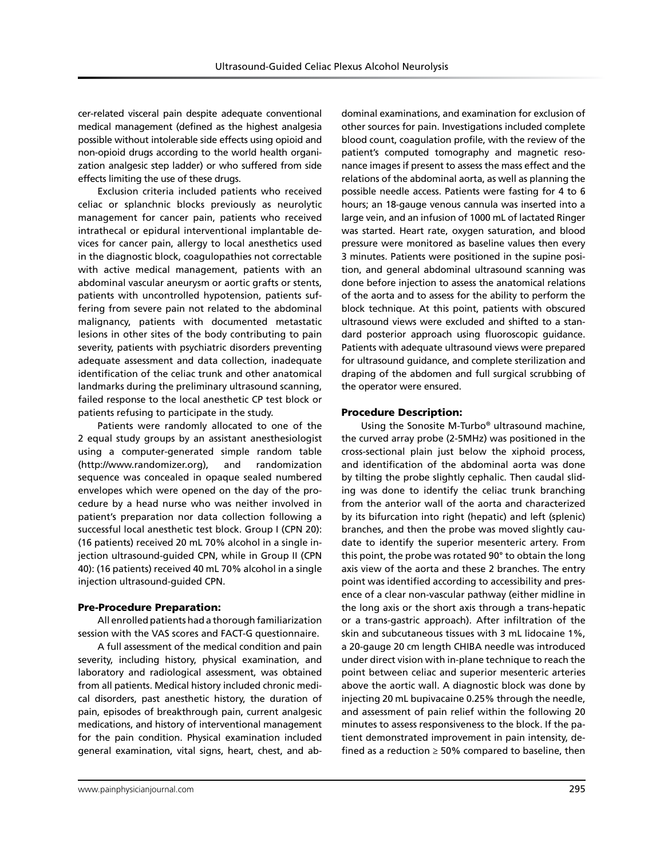cer-related visceral pain despite adequate conventional medical management (defined as the highest analgesia possible without intolerable side effects using opioid and non-opioid drugs according to the world health organization analgesic step ladder) or who suffered from side effects limiting the use of these drugs.

Exclusion criteria included patients who received celiac or splanchnic blocks previously as neurolytic management for cancer pain, patients who received intrathecal or epidural interventional implantable devices for cancer pain, allergy to local anesthetics used in the diagnostic block, coagulopathies not correctable with active medical management, patients with an abdominal vascular aneurysm or aortic grafts or stents, patients with uncontrolled hypotension, patients suffering from severe pain not related to the abdominal malignancy, patients with documented metastatic lesions in other sites of the body contributing to pain severity, patients with psychiatric disorders preventing adequate assessment and data collection, inadequate identification of the celiac trunk and other anatomical landmarks during the preliminary ultrasound scanning, failed response to the local anesthetic CP test block or patients refusing to participate in the study.

Patients were randomly allocated to one of the 2 equal study groups by an assistant anesthesiologist using a computer-generated simple random table (http://www.randomizer.org), and randomization sequence was concealed in opaque sealed numbered envelopes which were opened on the day of the procedure by a head nurse who was neither involved in patient's preparation nor data collection following a successful local anesthetic test block. Group I (CPN 20): (16 patients) received 20 mL 70% alcohol in a single injection ultrasound-guided CPN, while in Group II (CPN 40): (16 patients) received 40 mL 70% alcohol in a single injection ultrasound-guided CPN.

## Pre-Procedure Preparation:

All enrolled patients had a thorough familiarization session with the VAS scores and FACT-G questionnaire.

A full assessment of the medical condition and pain severity, including history, physical examination, and laboratory and radiological assessment, was obtained from all patients. Medical history included chronic medical disorders, past anesthetic history, the duration of pain, episodes of breakthrough pain, current analgesic medications, and history of interventional management for the pain condition. Physical examination included general examination, vital signs, heart, chest, and abblood count, coagulation profile, with the review of the patient's computed tomography and magnetic resonance images if present to assess the mass effect and the relations of the abdominal aorta, as well as planning the possible needle access. Patients were fasting for 4 to 6 hours; an 18-gauge venous cannula was inserted into a large vein, and an infusion of 1000 mL of lactated Ringer was started. Heart rate, oxygen saturation, and blood pressure were monitored as baseline values then every 3 minutes. Patients were positioned in the supine position, and general abdominal ultrasound scanning was done before injection to assess the anatomical relations of the aorta and to assess for the ability to perform the block technique. At this point, patients with obscured ultrasound views were excluded and shifted to a standard posterior approach using fluoroscopic guidance. Patients with adequate ultrasound views were prepared for ultrasound guidance, and complete sterilization and draping of the abdomen and full surgical scrubbing of the operator were ensured.

dominal examinations, and examination for exclusion of other sources for pain. Investigations included complete

## Procedure Description:

Using the Sonosite M-Turbo® ultrasound machine, the curved array probe (2-5MHz) was positioned in the cross-sectional plain just below the xiphoid process, and identification of the abdominal aorta was done by tilting the probe slightly cephalic. Then caudal sliding was done to identify the celiac trunk branching from the anterior wall of the aorta and characterized by its bifurcation into right (hepatic) and left (splenic) branches, and then the probe was moved slightly caudate to identify the superior mesenteric artery. From this point, the probe was rotated 90° to obtain the long axis view of the aorta and these 2 branches. The entry point was identified according to accessibility and presence of a clear non-vascular pathway (either midline in the long axis or the short axis through a trans-hepatic or a trans-gastric approach). After infiltration of the skin and subcutaneous tissues with 3 mL lidocaine 1%, a 20-gauge 20 cm length CHIBA needle was introduced under direct vision with in-plane technique to reach the point between celiac and superior mesenteric arteries above the aortic wall. A diagnostic block was done by injecting 20 mL bupivacaine 0.25% through the needle, and assessment of pain relief within the following 20 minutes to assess responsiveness to the block. If the patient demonstrated improvement in pain intensity, defined as a reduction  $\geq$  50% compared to baseline, then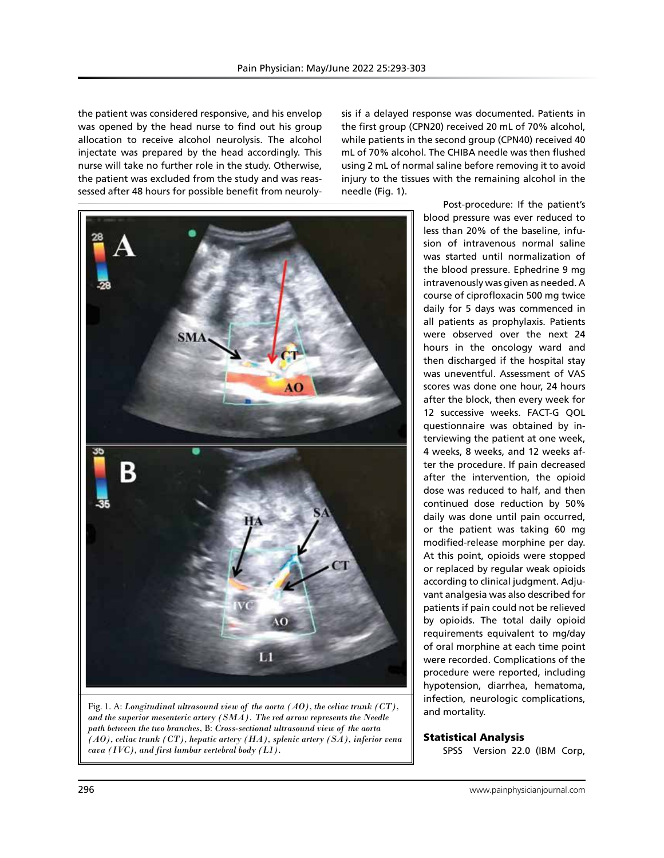the patient was considered responsive, and his envelop was opened by the head nurse to find out his group allocation to receive alcohol neurolysis. The alcohol injectate was prepared by the head accordingly. This nurse will take no further role in the study. Otherwise, the patient was excluded from the study and was reassessed after 48 hours for possible benefit from neuroly-



Fig. 1. A: *Longitudinal ultrasound view of the aorta (AO), the celiac trunk (CT), and the superior mesenteric artery (SMA). The red arrow represents the Needle path between the two branches,* B: *Cross-sectional ultrasound view of the aorta (AO), celiac trunk (CT), hepatic artery (HA), splenic artery (SA), inferior vena cava (IVC), and first lumbar vertebral body (L1).*

sis if a delayed response was documented. Patients in the first group (CPN20) received 20 mL of 70% alcohol, while patients in the second group (CPN40) received 40 mL of 70% alcohol. The CHIBA needle was then flushed using 2 mL of normal saline before removing it to avoid injury to the tissues with the remaining alcohol in the needle (Fig. 1).

> Post-procedure: If the patient's blood pressure was ever reduced to less than 20% of the baseline, infusion of intravenous normal saline was started until normalization of the blood pressure. Ephedrine 9 mg intravenously was given as needed. A course of ciprofloxacin 500 mg twice daily for 5 days was commenced in all patients as prophylaxis. Patients were observed over the next 24 hours in the oncology ward and then discharged if the hospital stay was uneventful. Assessment of VAS scores was done one hour, 24 hours after the block, then every week for 12 successive weeks. FACT-G QOL questionnaire was obtained by interviewing the patient at one week, 4 weeks, 8 weeks, and 12 weeks after the procedure. If pain decreased after the intervention, the opioid dose was reduced to half, and then continued dose reduction by 50% daily was done until pain occurred, or the patient was taking 60 mg modified-release morphine per day. At this point, opioids were stopped or replaced by regular weak opioids according to clinical judgment. Adjuvant analgesia was also described for patients if pain could not be relieved by opioids. The total daily opioid requirements equivalent to mg/day of oral morphine at each time point were recorded. Complications of the procedure were reported, including hypotension, diarrhea, hematoma, infection, neurologic complications, and mortality.

## Statistical Analysis

SPSS Version 22.0 (IBM Corp,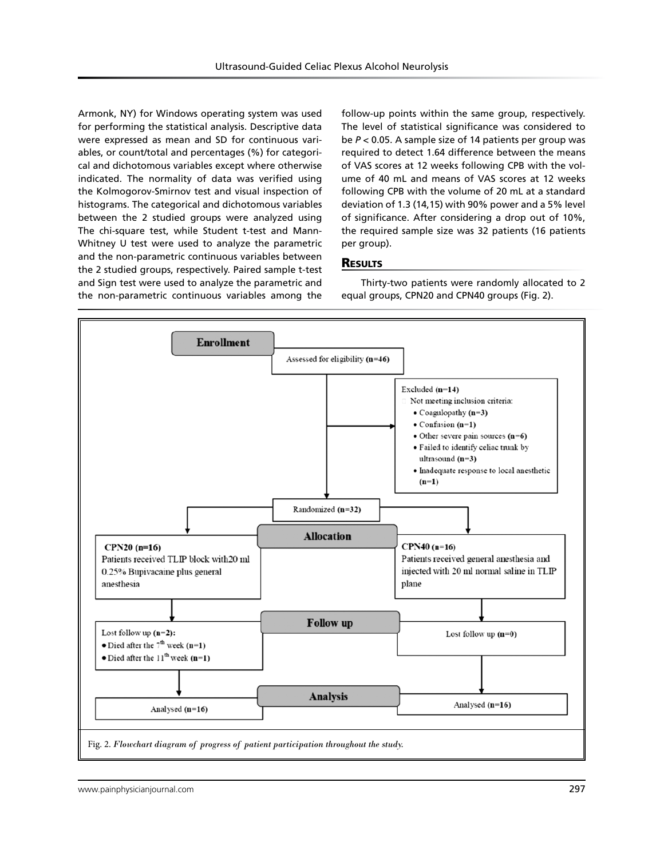Armonk, NY) for Windows operating system was used for performing the statistical analysis. Descriptive data were expressed as mean and SD for continuous variables, or count/total and percentages (%) for categorical and dichotomous variables except where otherwise indicated. The normality of data was verified using the Kolmogorov-Smirnov test and visual inspection of histograms. The categorical and dichotomous variables between the 2 studied groups were analyzed using The chi-square test, while Student t-test and Mann-Whitney U test were used to analyze the parametric and the non-parametric continuous variables between the 2 studied groups, respectively. Paired sample t-test and Sign test were used to analyze the parametric and the non-parametric continuous variables among the

follow-up points within the same group, respectively. The level of statistical significance was considered to be *P* < 0.05. A sample size of 14 patients per group was required to detect 1.64 difference between the means of VAS scores at 12 weeks following CPB with the volume of 40 mL and means of VAS scores at 12 weeks following CPB with the volume of 20 mL at a standard deviation of 1.3 (14,15) with 90% power and a 5% level of significance. After considering a drop out of 10%, the required sample size was 32 patients (16 patients per group).

## **RESULTS**

Thirty-two patients were randomly allocated to 2 equal groups, CPN20 and CPN40 groups (Fig. 2).

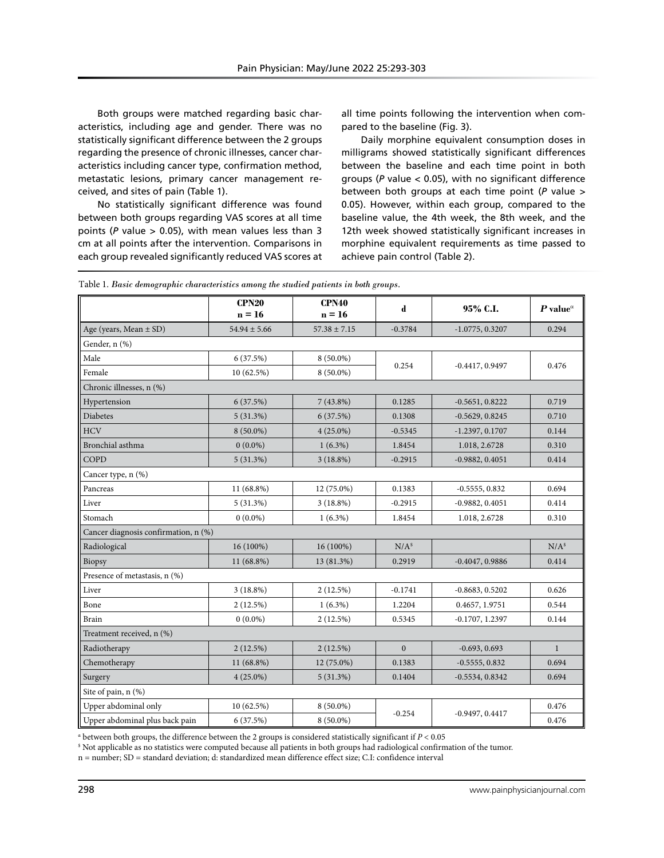Both groups were matched regarding basic characteristics, including age and gender. There was no statistically significant difference between the 2 groups regarding the presence of chronic illnesses, cancer characteristics including cancer type, confirmation method, metastatic lesions, primary cancer management received, and sites of pain (Table 1).

No statistically significant difference was found between both groups regarding VAS scores at all time points (*P* value > 0.05), with mean values less than 3 cm at all points after the intervention. Comparisons in each group revealed significantly reduced VAS scores at all time points following the intervention when compared to the baseline (Fig. 3).

Daily morphine equivalent consumption doses in milligrams showed statistically significant differences between the baseline and each time point in both groups (*P* value < 0.05), with no significant difference between both groups at each time point (*P* value > 0.05). However, within each group, compared to the baseline value, the 4th week, the 8th week, and the 12th week showed statistically significant increases in morphine equivalent requirements as time passed to achieve pain control (Table 2).

|                                      | CPN20<br>$n = 16$ | <b>CPN40</b><br>$n = 16$ | d                | 95% C.I.          | P value <sup><math>\alpha</math></sup> |  |  |  |
|--------------------------------------|-------------------|--------------------------|------------------|-------------------|----------------------------------------|--|--|--|
| Age (years, Mean $\pm$ SD)           | $54.94 \pm 5.66$  | $57.38 \pm 7.15$         | $-0.3784$        | $-1.0775, 0.3207$ | 0.294                                  |  |  |  |
| Gender, n (%)                        |                   |                          |                  |                   |                                        |  |  |  |
| Male                                 | 6(37.5%)          | $8(50.0\%)$              |                  |                   |                                        |  |  |  |
| Female                               | 10(62.5%)         | $8(50.0\%)$              | 0.254            | $-0.4417, 0.9497$ | 0.476                                  |  |  |  |
| Chronic illnesses, n (%)             |                   |                          |                  |                   |                                        |  |  |  |
| Hypertension                         | 6(37.5%)          | $7(43.8\%)$              | 0.1285           | $-0.5651, 0.8222$ | 0.719                                  |  |  |  |
| <b>Diabetes</b>                      | 5(31.3%)          | 6(37.5%)                 | 0.1308           | $-0.5629, 0.8245$ | 0.710                                  |  |  |  |
| <b>HCV</b>                           | $8(50.0\%)$       | $4(25.0\%)$              | $-0.5345$        | $-1.2397, 0.1707$ | 0.144                                  |  |  |  |
| Bronchial asthma                     | $0(0.0\%)$        | $1(6.3\%)$               | 1.8454           | 1.018, 2.6728     | 0.310                                  |  |  |  |
| COPD                                 | 5(31.3%)          | $3(18.8\%)$              | $-0.2915$        | $-0.9882, 0.4051$ | 0.414                                  |  |  |  |
| Cancer type, n (%)                   |                   |                          |                  |                   |                                        |  |  |  |
| Pancreas                             | 11 (68.8%)        | 12 (75.0%)               | 0.1383           | $-0.5555, 0.832$  | 0.694                                  |  |  |  |
| Liver                                | 5(31.3%)          | $3(18.8\%)$              | $-0.2915$        | $-0.9882, 0.4051$ | 0.414                                  |  |  |  |
| Stomach                              | $0(0.0\%)$        | $1(6.3\%)$               | 1.8454           | 1.018, 2.6728     | 0.310                                  |  |  |  |
| Cancer diagnosis confirmation, n (%) |                   |                          |                  |                   |                                        |  |  |  |
| Radiological                         | 16 (100%)         | 16 (100%)                | N/A <sup>s</sup> |                   | N/A <sup>s</sup>                       |  |  |  |
| Biopsy                               | 11 (68.8%)        | 13 (81.3%)               | 0.2919           | $-0.4047, 0.9886$ | 0.414                                  |  |  |  |
| Presence of metastasis, n (%)        |                   |                          |                  |                   |                                        |  |  |  |
| Liver                                | $3(18.8\%)$       | 2(12.5%)                 | $-0.1741$        | $-0.8683, 0.5202$ | 0.626                                  |  |  |  |
| Bone                                 | 2(12.5%)          | $1(6.3\%)$               | 1.2204           | 0.4657, 1.9751    | 0.544                                  |  |  |  |
| <b>Brain</b>                         | $0(0.0\%)$        | 2(12.5%)                 | 0.5345           | $-0.1707, 1.2397$ | 0.144                                  |  |  |  |
| Treatment received, n (%)            |                   |                          |                  |                   |                                        |  |  |  |
| Radiotherapy                         | 2(12.5%)          | 2(12.5%)                 | $\mathbf{0}$     | $-0.693, 0.693$   | $\mathbf{1}$                           |  |  |  |
| Chemotherapy                         | 11 (68.8%)        | 12 (75.0%)               | 0.1383           | $-0.5555, 0.832$  | 0.694                                  |  |  |  |
| Surgery                              | $4(25.0\%)$       | 5(31.3%)                 | 0.1404           | $-0.5534, 0.8342$ | 0.694                                  |  |  |  |
| Site of pain, n (%)                  |                   |                          |                  |                   |                                        |  |  |  |
| Upper abdominal only                 | 10(62.5%)         | $8(50.0\%)$              | $-0.254$         | $-0.9497, 0.4417$ | 0.476                                  |  |  |  |
| Upper abdominal plus back pain       | 6(37.5%)          | $8(50.0\%)$              |                  |                   | 0.476                                  |  |  |  |

Table 1. *Basic demographic characteristics among the studied patients in both groups.*

α between both groups, the difference between the 2 groups is considered statistically significant if *P* < 0.05

\$ Not applicable as no statistics were computed because all patients in both groups had radiological confirmation of the tumor.

n = number; SD = standard deviation; d: standardized mean difference effect size; C.I: confidence interval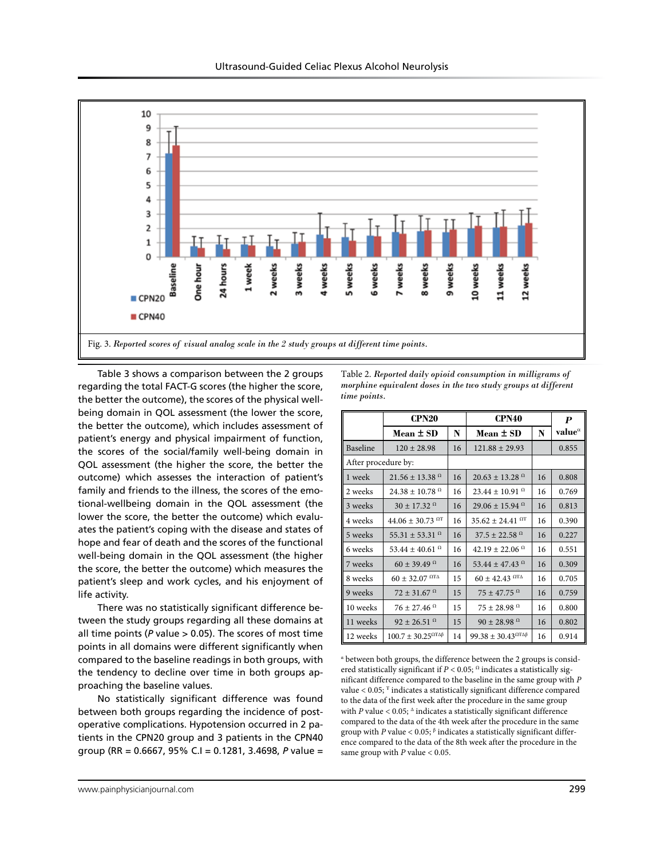

Table 3 shows a comparison between the 2 groups regarding the total FACT-G scores (the higher the score, the better the outcome), the scores of the physical wellbeing domain in QOL assessment (the lower the score, the better the outcome), which includes assessment of patient's energy and physical impairment of function, the scores of the social/family well-being domain in QOL assessment (the higher the score, the better the outcome) which assesses the interaction of patient's family and friends to the illness, the scores of the emotional-wellbeing domain in the QOL assessment (the lower the score, the better the outcome) which evaluates the patient's coping with the disease and states of hope and fear of death and the scores of the functional well-being domain in the QOL assessment (the higher the score, the better the outcome) which measures the patient's sleep and work cycles, and his enjoyment of life activity.

There was no statistically significant difference between the study groups regarding all these domains at all time points (*P* value > 0.05). The scores of most time points in all domains were different significantly when compared to the baseline readings in both groups, with the tendency to decline over time in both groups approaching the baseline values.

No statistically significant difference was found between both groups regarding the incidence of postoperative complications. Hypotension occurred in 2 patients in the CPN20 group and 3 patients in the CPN40 group (RR = 0.6667, 95% C.I = 0.1281, 3.4698, *P* value =

Table 2. *Reported daily opioid consumption in milligrams of morphine equivalent doses in the two study groups at different time points.*

|                     | CPN <sub>20</sub>                         |    | CPN40                                     | P  |                 |
|---------------------|-------------------------------------------|----|-------------------------------------------|----|-----------------|
|                     | Mean $\pm$ SD                             | N  | Mean $\pm$ SD                             | N  | value $^\alpha$ |
| Baseline            | $120 \pm 28.98$                           | 16 | $121.88 \pm 29.93$                        |    | 0.855           |
| After procedure by: |                                           |    |                                           |    |                 |
| 1 week              | $21.56 \pm 13.38$ <sup>0</sup>            | 16 | $20.63 \pm 13.28$ <sup>0</sup>            | 16 | 0.808           |
| 2 weeks             | $24.38 \pm 10.78$ <sup>0</sup>            | 16 | $23.44 \pm 10.91$ <sup>0</sup>            | 16 | 0.769           |
| 3 weeks             | $30 \pm 17.32$ <sup>0</sup>               | 16 | $29.06 \pm 15.94$ <sup>0</sup>            | 16 | 0.813           |
| 4 weeks             | 44.06 $\pm$ 30.73 <sup>OT</sup>           | 16 | $35.62 \pm 24.41$ <sup>OT</sup>           | 16 | 0.390           |
| 5 weeks             | $55.31 \pm 53.31$ <sup>0</sup>            | 16 | $37.5 \pm 22.58$ <sup>0</sup>             | 16 | 0.227           |
| 6 weeks             | 53.44 ± 40.61 $^{\Omega}$                 | 16 | $42.19 \pm 22.06$ <sup>0</sup>            | 16 | 0.551           |
| 7 weeks             | $60 \pm 39.49$ <sup>0</sup>               | 16 | 53.44 ± 47.43 $^{\Omega}$                 | 16 | 0.309           |
| 8 weeks             | $60 \pm 32.07$ $^{\Omega}$ TA             | 15 | $60 \pm 42.43$ $^{\Omega}$ TA             | 16 | 0.705           |
| 9 weeks             | $72 \pm 31.67$ $^{\Omega}$                | 15 | $75 \pm 47.75$ $^{\Omega}$                | 16 | 0.759           |
| 10 weeks            | $76 \pm 27.46$ $^{\Omega}$                | 15 | $75 \pm 28.98$ $^{\Omega}$                | 16 | 0.800           |
| 11 weeks            | $92 \pm 26.51$ $^{\Omega}$                | 15 | $90 \pm 28.98$ $^{\Omega}$                | 16 | 0.802           |
| 12 weeks            | $100.7 \pm 30.25^{\Omega T \Delta \beta}$ | 14 | $99.38 \pm 30.43^{\Omega T \Delta \beta}$ | 16 | 0.914           |

α between both groups, the difference between the 2 groups is considered statistically significant if  $P < 0.05$ ; <sup> $\Omega$ </sup> indicates a statistically significant difference compared to the baseline in the same group with *P* value  $<$  0.05;  $\overline{r}$  indicates a statistically significant difference compared to the data of the first week after the procedure in the same group with *P* value  $< 0.05$ ;  $\triangle$  indicates a statistically significant difference compared to the data of the 4th week after the procedure in the same group with *P* value < 0.05; β indicates a statistically significant difference compared to the data of the 8th week after the procedure in the same group with *P* value < 0.05.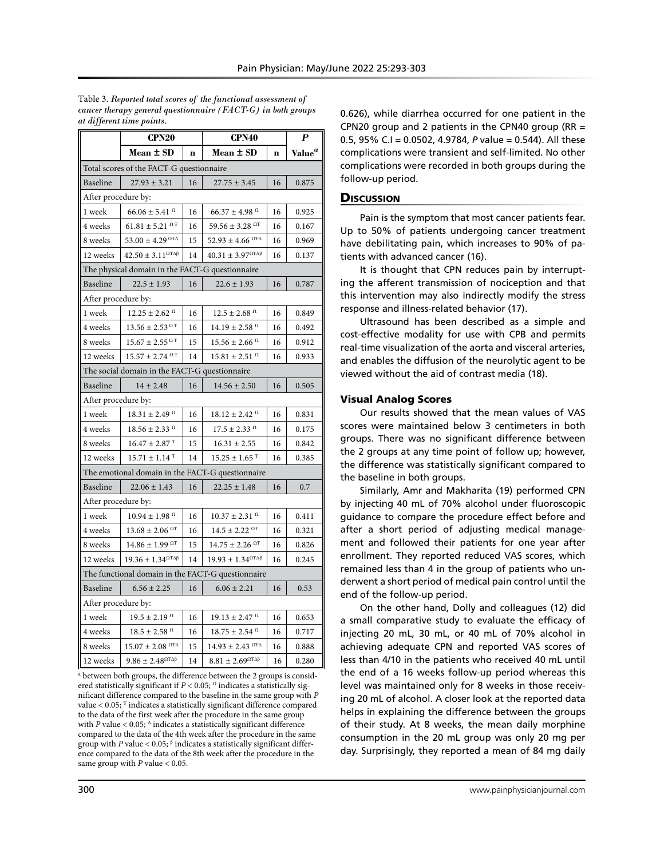Table 3. *Reported total scores of the functional assessment of cancer therapy general questionnaire (FACT-G) in both groups* 

|                                                   | <b>CPN20</b>                                    |             | CPN40                                           | P           |                    |  |  |  |
|---------------------------------------------------|-------------------------------------------------|-------------|-------------------------------------------------|-------------|--------------------|--|--|--|
|                                                   | $Mean \pm SD$                                   | $\mathbf n$ | Mean $\pm$ SD                                   | $\mathbf n$ | Value <sup>a</sup> |  |  |  |
| Total scores of the FACT-G questionnaire          |                                                 |             |                                                 |             |                    |  |  |  |
| <b>Baseline</b>                                   | $27.93 \pm 3.21$                                | 16          | $27.75 \pm 3.45$                                | 16          | 0.875              |  |  |  |
| After procedure by:                               |                                                 |             |                                                 |             |                    |  |  |  |
| 1 week                                            | $66.06 \pm 5.41$ $^{\Omega}$                    | 16          | $66.37 \pm 4.98$ <sup>0</sup>                   | 16          | 0.925              |  |  |  |
| 4 weeks                                           | $61.81 \pm 5.21^{\text{ }\Omega\text{F}}$       | 16          | 59.56 ± 3.28 $^{\Omega}$ F                      | 16          | 0.167              |  |  |  |
| 8 weeks                                           | 53.00 ± 4.29 $^{\Omega TA}$                     | 15          | 52.93 ± 4.66 $^{\Omega TA}$                     | 16          | 0.969              |  |  |  |
| 12 weeks                                          | $42.50 \pm 3.11^{\Omega T \Delta \beta}$        | 14          | $40.31 \pm 3.97^{\Omega\text{T}\Delta\beta}$    | 16          | 0.137              |  |  |  |
|                                                   | The physical domain in the FACT-G questionnaire |             |                                                 |             |                    |  |  |  |
| <b>Baseline</b>                                   | $22.5 \pm 1.93$                                 | 16          | $22.6 \pm 1.93$                                 | 16          | 0.787              |  |  |  |
| After procedure by:                               |                                                 |             |                                                 |             |                    |  |  |  |
| 1 week                                            | $12.25 \pm 2.62$ <sup>0</sup>                   | 16          | $12.5 \pm 2.68$ $^{\Omega}$                     | 16          | 0.849              |  |  |  |
| 4 weeks                                           | $13.56 \pm 2.53^{\Omega T}$                     | 16          | $14.19 \pm 2.58$ $\Omega$                       | 16          | 0.492              |  |  |  |
| 8 weeks                                           | $15.67 \pm 2.55^{\Omega T}$                     | 15          | $15.56 \pm 2.66$ <sup>0</sup>                   | 16          | 0.912              |  |  |  |
| 12 weeks                                          | $15.57 \pm 2.74$ <sup>0.7</sup>                 | 14          | $15.81 \pm 2.51$ <sup>0</sup>                   | 16          | 0.933              |  |  |  |
|                                                   | The social domain in the FACT-G questionnaire   |             |                                                 |             |                    |  |  |  |
| Baseline                                          | $14 \pm 2.48$                                   | 16          | $14.56 \pm 2.50$                                | 16          | 0.505              |  |  |  |
| After procedure by:                               |                                                 |             |                                                 |             |                    |  |  |  |
| 1 week                                            | $18.31\pm2.49$ $^{\Omega}$                      | 16          | $18.12 \pm 2.42$ <sup>0</sup>                   | 16          | 0.831              |  |  |  |
| 4 weeks                                           | $18.56 \pm 2.33$ $^{\Omega}$                    | 16          | $17.5 \pm 2.33$ $^{\Omega}$                     | 16          | 0.175              |  |  |  |
| 8 weeks                                           | $16.47\pm2.87$ $^{\mathrm{T}}$                  | 15          | $16.31 \pm 2.55$                                | 16          | 0.842              |  |  |  |
| 12 weeks                                          | $15.71 \pm 1.14$ $^{\mathrm{T}}$                | 14          | $15.25\pm1.65$ $^{\mathrm{T}}$                  | 16          | 0.385              |  |  |  |
| The emotional domain in the FACT-G questionnaire  |                                                 |             |                                                 |             |                    |  |  |  |
| Baseline                                          | $22.06 \pm 1.43$                                | 16          | $22.25 \pm 1.48$                                | 16          | 0.7                |  |  |  |
| After procedure by:                               |                                                 |             |                                                 |             |                    |  |  |  |
| 1 week                                            | $10.94 \pm 1.98$ <sup>0</sup>                   | 16          | $10.37 \pm 2.31$ <sup>0</sup>                   | 16          | 0.411              |  |  |  |
| 4 weeks                                           | $13.68 \pm 2.06$ $^{\Omega \text{T}}$           | 16          | $14.5 \pm 2.22$ <sup>OT</sup>                   | 16          | 0.321              |  |  |  |
| 8 weeks                                           | $14.86 \pm 1.99$ <sup>OT</sup>                  | 15          | $14.75 \pm 2.26$ <sup>ΩT</sup>                  | 16          | 0.826              |  |  |  |
| 12 weeks                                          | $19.36 \pm 1.34^{\Omega\text{T}\Delta\beta}$    | 14          | $19.93 \pm 1.34^{\Omega \text{T} \Delta \beta}$ | 16          | 0.245              |  |  |  |
| The functional domain in the FACT-G questionnaire |                                                 |             |                                                 |             |                    |  |  |  |
| Baseline                                          | $6.56 \pm 2.25$                                 | 16          | $6.06 \pm 2.21$                                 | 16          | 0.53               |  |  |  |
| After procedure by:                               |                                                 |             |                                                 |             |                    |  |  |  |
| 1 week                                            | $19.5 \pm 2.19^{\Omega}$                        | 16          | $19.13 \pm 2.47$ $^{\Omega}$                    | 16          | 0.653              |  |  |  |
| 4 weeks                                           | $18.5 \pm 2.58$ $^{\Omega}$                     | 16          | $18.75 \pm 2.54$ <sup>0</sup>                   | 16          | 0.717              |  |  |  |
| 8 weeks                                           | $15.07 \pm 2.08$ $^{\text{OFA}}$                | 15          | $14.93 \pm 2.43$ <sup>0TA</sup>                 | 16          | 0.888              |  |  |  |
| 12 weeks                                          | $9.86 \pm 2.48^{\Omega T \Delta \beta}$         | 14          | $8.81 \pm 2.69^{\Omega T \Delta \beta}$         | 16          | 0.280              |  |  |  |

α between both groups, the difference between the 2 groups is considered statistically significant if  $P < 0.05$ ; <sup>Ω</sup> indicates a statistically significant difference compared to the baseline in the same group with *P* value < 0.05; <sup>T</sup> indicates a statistically significant difference compared to the data of the first week after the procedure in the same group with *P* value  $< 0.05$ ;  $\triangle$  indicates a statistically significant difference compared to the data of the 4th week after the procedure in the same group with *P* value < 0.05; β indicates a statistically significant difference compared to the data of the 8th week after the procedure in the same group with *P* value < 0.05.

*ancer therapy general questionnaire (FACT-G) in both groups* 0.626), while diarrhea occurred for one patient in the *at different time points*. CPN20 group and 2 patients in the CPN40 group (RR  $=$ 0.5, 95% C.I = 0.0502, 4.9784, *P* value = 0.544). All these complications were transient and self-limited. No other complications were recorded in both groups during the follow-up period.

## **Discussion**

Pain is the symptom that most cancer patients fear. Up to 50% of patients undergoing cancer treatment have debilitating pain, which increases to 90% of patients with advanced cancer (16).

It is thought that CPN reduces pain by interrupting the afferent transmission of nociception and that this intervention may also indirectly modify the stress response and illness-related behavior (17).

Ultrasound has been described as a simple and cost-effective modality for use with CPB and permits real-time visualization of the aorta and visceral arteries, and enables the diffusion of the neurolytic agent to be viewed without the aid of contrast media (18).

## Visual Analog Scores

Our results showed that the mean values of VAS scores were maintained below 3 centimeters in both groups. There was no significant difference between the 2 groups at any time point of follow up; however, the difference was statistically significant compared to the baseline in both groups.

Similarly, Amr and Makharita (19) performed CPN by injecting 40 mL of 70% alcohol under fluoroscopic guidance to compare the procedure effect before and after a short period of adjusting medical management and followed their patients for one year after enrollment. They reported reduced VAS scores, which remained less than 4 in the group of patients who underwent a short period of medical pain control until the end of the follow-up period.

On the other hand, Dolly and colleagues (12) did a small comparative study to evaluate the efficacy of injecting 20 mL, 30 mL, or 40 mL of 70% alcohol in achieving adequate CPN and reported VAS scores of less than 4/10 in the patients who received 40 mL until the end of a 16 weeks follow-up period whereas this level was maintained only for 8 weeks in those receiving 20 mL of alcohol. A closer look at the reported data helps in explaining the difference between the groups of their study. At 8 weeks, the mean daily morphine consumption in the 20 mL group was only 20 mg per day. Surprisingly, they reported a mean of 84 mg daily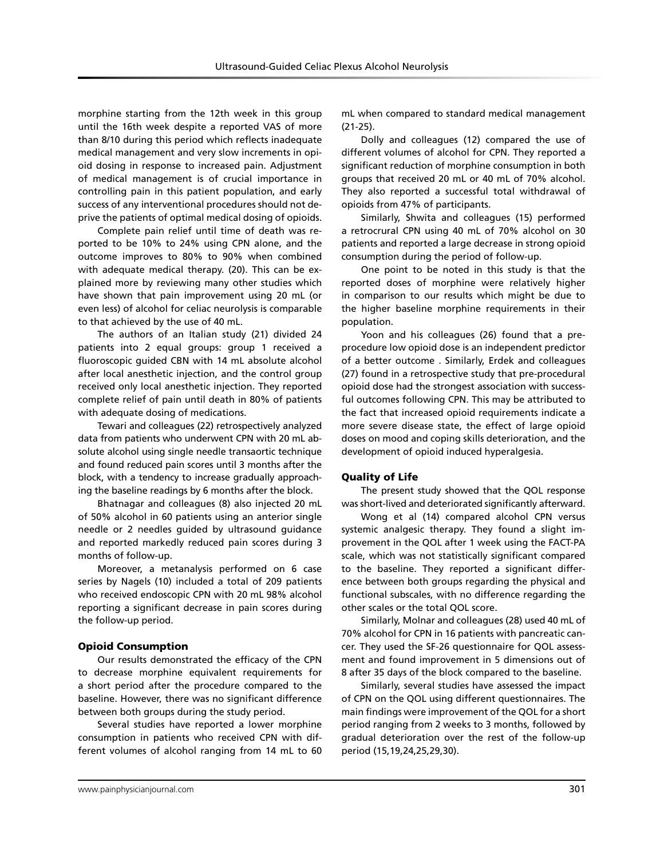morphine starting from the 12th week in this group until the 16th week despite a reported VAS of more than 8/10 during this period which reflects inadequate medical management and very slow increments in opioid dosing in response to increased pain. Adjustment of medical management is of crucial importance in controlling pain in this patient population, and early success of any interventional procedures should not deprive the patients of optimal medical dosing of opioids.

Complete pain relief until time of death was reported to be 10% to 24% using CPN alone, and the outcome improves to 80% to 90% when combined with adequate medical therapy. (20). This can be explained more by reviewing many other studies which have shown that pain improvement using 20 mL (or even less) of alcohol for celiac neurolysis is comparable to that achieved by the use of 40 mL.

The authors of an Italian study (21) divided 24 patients into 2 equal groups: group 1 received a fluoroscopic guided CBN with 14 mL absolute alcohol after local anesthetic injection, and the control group received only local anesthetic injection. They reported complete relief of pain until death in 80% of patients with adequate dosing of medications.

Tewari and colleagues (22) retrospectively analyzed data from patients who underwent CPN with 20 mL absolute alcohol using single needle transaortic technique and found reduced pain scores until 3 months after the block, with a tendency to increase gradually approaching the baseline readings by 6 months after the block.

Bhatnagar and colleagues (8) also injected 20 mL of 50% alcohol in 60 patients using an anterior single needle or 2 needles guided by ultrasound guidance and reported markedly reduced pain scores during 3 months of follow-up.

Moreover, a metanalysis performed on 6 case series by Nagels (10) included a total of 209 patients who received endoscopic CPN with 20 mL 98% alcohol reporting a significant decrease in pain scores during the follow-up period.

#### Opioid Consumption

Our results demonstrated the efficacy of the CPN to decrease morphine equivalent requirements for a short period after the procedure compared to the baseline. However, there was no significant difference between both groups during the study period.

Several studies have reported a lower morphine consumption in patients who received CPN with different volumes of alcohol ranging from 14 mL to 60 mL when compared to standard medical management (21-25).

Dolly and colleagues (12) compared the use of different volumes of alcohol for CPN. They reported a significant reduction of morphine consumption in both groups that received 20 mL or 40 mL of 70% alcohol. They also reported a successful total withdrawal of opioids from 47% of participants.

Similarly, Shwita and colleagues (15) performed a retrocrural CPN using 40 mL of 70% alcohol on 30 patients and reported a large decrease in strong opioid consumption during the period of follow-up.

One point to be noted in this study is that the reported doses of morphine were relatively higher in comparison to our results which might be due to the higher baseline morphine requirements in their population.

Yoon and his colleagues (26) found that a preprocedure low opioid dose is an independent predictor of a better outcome . Similarly, Erdek and colleagues (27) found in a retrospective study that pre-procedural opioid dose had the strongest association with successful outcomes following CPN. This may be attributed to the fact that increased opioid requirements indicate a more severe disease state, the effect of large opioid doses on mood and coping skills deterioration, and the development of opioid induced hyperalgesia.

## Quality of Life

The present study showed that the QOL response was short-lived and deteriorated significantly afterward.

Wong et al (14) compared alcohol CPN versus systemic analgesic therapy. They found a slight improvement in the QOL after 1 week using the FACT-PA scale, which was not statistically significant compared to the baseline. They reported a significant difference between both groups regarding the physical and functional subscales, with no difference regarding the other scales or the total QOL score.

Similarly, Molnar and colleagues (28) used 40 mL of 70% alcohol for CPN in 16 patients with pancreatic cancer. They used the SF-26 questionnaire for QOL assessment and found improvement in 5 dimensions out of 8 after 35 days of the block compared to the baseline.

Similarly, several studies have assessed the impact of CPN on the QOL using different questionnaires. The main findings were improvement of the QOL for a short period ranging from 2 weeks to 3 months, followed by gradual deterioration over the rest of the follow-up period (15,19,24,25,29,30).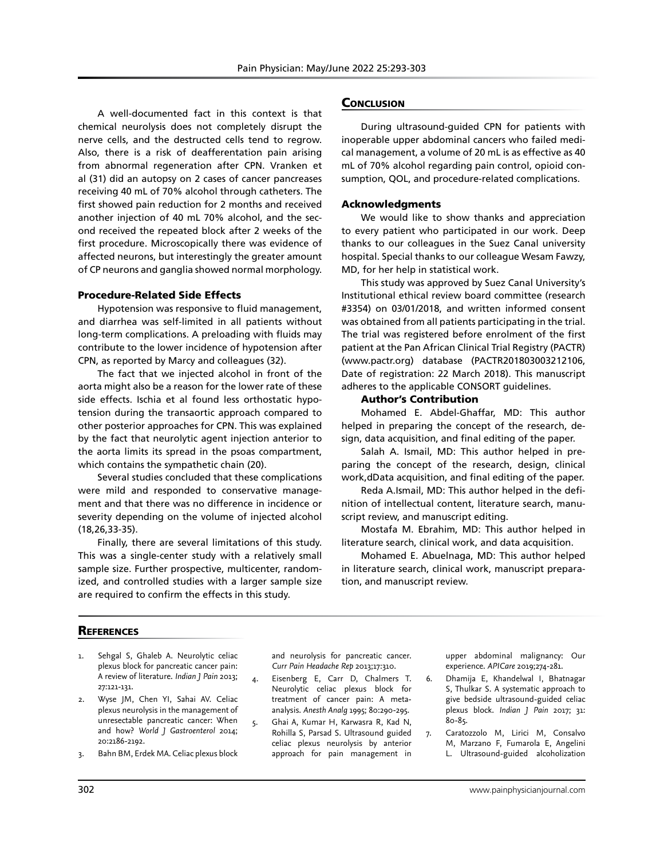A well-documented fact in this context is that chemical neurolysis does not completely disrupt the nerve cells, and the destructed cells tend to regrow. Also, there is a risk of deafferentation pain arising from abnormal regeneration after CPN. Vranken et al (31) did an autopsy on 2 cases of cancer pancreases receiving 40 mL of 70% alcohol through catheters. The first showed pain reduction for 2 months and received another injection of 40 mL 70% alcohol, and the second received the repeated block after 2 weeks of the first procedure. Microscopically there was evidence of affected neurons, but interestingly the greater amount of CP neurons and ganglia showed normal morphology.

## Procedure-Related Side Effects

Hypotension was responsive to fluid management, and diarrhea was self-limited in all patients without long-term complications. A preloading with fluids may contribute to the lower incidence of hypotension after CPN, as reported by Marcy and colleagues (32).

The fact that we injected alcohol in front of the aorta might also be a reason for the lower rate of these side effects. Ischia et al found less orthostatic hypotension during the transaortic approach compared to other posterior approaches for CPN. This was explained by the fact that neurolytic agent injection anterior to the aorta limits its spread in the psoas compartment, which contains the sympathetic chain (20).

Several studies concluded that these complications were mild and responded to conservative management and that there was no difference in incidence or severity depending on the volume of injected alcohol (18,26,33-35).

Finally, there are several limitations of this study. This was a single-center study with a relatively small sample size. Further prospective, multicenter, randomized, and controlled studies with a larger sample size are required to confirm the effects in this study.

## **CONCLUSION**

During ultrasound-guided CPN for patients with inoperable upper abdominal cancers who failed medical management, a volume of 20 mL is as effective as 40 mL of 70% alcohol regarding pain control, opioid consumption, QOL, and procedure-related complications.

## Acknowledgments

We would like to show thanks and appreciation to every patient who participated in our work. Deep thanks to our colleagues in the Suez Canal university hospital. Special thanks to our colleague Wesam Fawzy, MD, for her help in statistical work.

This study was approved by Suez Canal University's Institutional ethical review board committee (research #3354) on 03/01/2018, and written informed consent was obtained from all patients participating in the trial. The trial was registered before enrolment of the first patient at the Pan African Clinical Trial Registry (PACTR) (www.pactr.org) database (PACTR201803003212106, Date of registration: 22 March 2018). This manuscript adheres to the applicable CONSORT guidelines.

## Author's Contribution

Mohamed E. Abdel-Ghaffar, MD: This author helped in preparing the concept of the research, design, data acquisition, and final editing of the paper.

Salah A. Ismail, MD: This author helped in preparing the concept of the research, design, clinical work,dData acquisition, and final editing of the paper.

Reda A.Ismail, MD: This author helped in the definition of intellectual content, literature search, manuscript review, and manuscript editing.

Mostafa M. Ebrahim, MD: This author helped in literature search, clinical work, and data acquisition.

Mohamed E. Abuelnaga, MD: This author helped in literature search, clinical work, manuscript preparation, and manuscript review.

## **REFERENCES**

- Sehgal S, Ghaleb A. Neurolytic celiac plexus block for pancreatic cancer pain: A review of literature. *Indian J Pain* 2013; 27:121-131.
- 2. Wyse JM, Chen YI, Sahai AV. Celiac plexus neurolysis in the management of unresectable pancreatic cancer: When and how? *World J Gastroenterol* 2014; 20:2186-2192.
- 3. Bahn BM, Erdek MA. Celiac plexus block

and neurolysis for pancreatic cancer. *Curr Pain Headache Rep* 2013;17:310.

- 4. Eisenberg E, Carr D, Chalmers T. Neurolytic celiac plexus block for treatment of cancer pain: A metaanalysis. *Anesth Analg* 1995; 80:290-295.
- 5. Ghai A, Kumar H, Karwasra R, Kad N, Rohilla S, Parsad S. Ultrasound guided celiac plexus neurolysis by anterior approach for pain management in

upper abdominal malignancy: Our experience. *APICare* 2019;274-281.

- 6. Dhamija E, Khandelwal I, Bhatnagar S, Thulkar S. A systematic approach to give bedside ultrasound-guided celiac plexus block. *Indian J Pain* 2017; 31: 80-85.
- 7. Caratozzolo M, Lirici M, Consalvo M, Marzano F, Fumarola E, Angelini L. Ultrasound-guided alcoholization